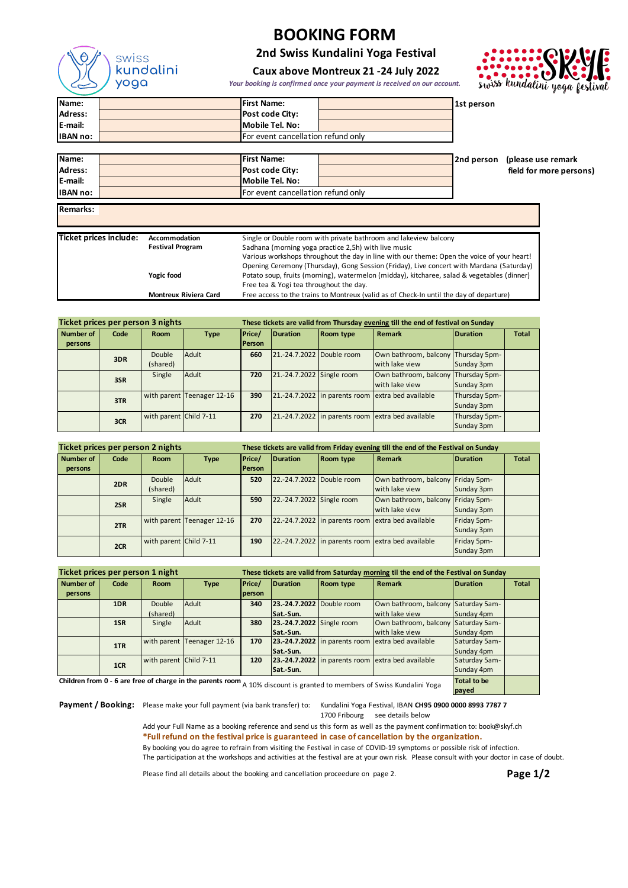

**Remarks:**

# **BOOKING FORM**

**2nd Swiss Kundalini Yoga Festival**

# swiss kundalini

#### **Caux above Montreux 21 -24 July 2022**

*Your booking is confirmed once your payment is received on our account.* 

| Name:           | <b>IFirst Name:</b>                | 1st person |
|-----------------|------------------------------------|------------|
| Adress:         | Post code City:                    |            |
| <b>IE-mail:</b> | Mobile Tel. No:                    |            |
| <b>IBAN no:</b> | For event cancellation refund only |            |
|                 |                                    |            |

| IName:           | <b>First Name:</b>                 |  | 2nd person (please use remark |
|------------------|------------------------------------|--|-------------------------------|
| <b>Adress:</b>   | Post code City:                    |  | field for more persons)       |
| <b>IE-mail:</b>  | Mobile Tel. No:                    |  |                               |
| <b>IIBAN</b> no: | For event cancellation refund only |  |                               |

| Ticket prices include: | Accommodation                | Single or Double room with private bathroom and lakeview balcony                           |
|------------------------|------------------------------|--------------------------------------------------------------------------------------------|
|                        | <b>Festival Program</b>      | Sadhana (morning yoga practice 2,5h) with live music                                       |
|                        |                              | Various workshops throughout the day in line with our theme: Open the voice of your heart! |
|                        |                              | Opening Ceremony (Thursday), Gong Session (Friday), Live concert with Mardana (Saturday)   |
|                        | Yogic food                   | Potato soup, fruits (morning), watermelon (midday), kitcharee, salad & vegetables (dinner) |
|                        |                              | Free tea & Yogi tea throughout the day.                                                    |
|                        | <b>Montreux Riviera Card</b> | Free access to the trains to Montreux (valid as of Check-In until the day of departure)    |

| Ticket prices per person 3 nights |      |                        |                            | These tickets are valid from Thursday evening till the end of festival on Sunday |                           |                  |                                                   |               |              |  |
|-----------------------------------|------|------------------------|----------------------------|----------------------------------------------------------------------------------|---------------------------|------------------|---------------------------------------------------|---------------|--------------|--|
| <b>Number of</b>                  | Code | <b>Room</b>            | <b>Type</b>                | Price/                                                                           | <b>Duration</b>           | <b>Room type</b> | <b>Remark</b>                                     | Duration      | <b>Total</b> |  |
| persons                           |      |                        |                            | <b>Person</b>                                                                    |                           |                  |                                                   |               |              |  |
|                                   | 3DR  | Double                 | Adult                      | 660                                                                              | 21.-24.7.2022 Double room |                  | Own bathroom, balcony Thursday 5pm-               |               |              |  |
|                                   |      | (shared)               |                            |                                                                                  |                           |                  | with lake view                                    | Sunday 3pm    |              |  |
|                                   | 3SR  | Single                 | Adult                      | 720                                                                              | 21.-24.7.2022 Single room |                  | Own bathroom, balcony Thursday 5pm-               |               |              |  |
|                                   |      |                        |                            |                                                                                  |                           |                  | with lake view                                    | Sunday 3pm    |              |  |
|                                   | 3TR  |                        | with parent Teenager 12-16 | 390                                                                              |                           |                  | 21.-24.7.2022 in parents room extra bed available | Thursday 5pm- |              |  |
|                                   |      |                        |                            |                                                                                  |                           |                  |                                                   | Sunday 3pm    |              |  |
|                                   |      | with parent Child 7-11 |                            | 270                                                                              |                           |                  | 21.-24.7.2022 in parents room extra bed available | Thursday 5pm- |              |  |
|                                   | 3CR  |                        |                            |                                                                                  |                           |                  |                                                   | Sunday 3pm    |              |  |

| Ticket prices per person 2 nights |      |                        |                                                                                                           | These tickets are valid from Friday evening till the end of the Festival on Sunday |                           |  |                                                   |             |  |  |
|-----------------------------------|------|------------------------|-----------------------------------------------------------------------------------------------------------|------------------------------------------------------------------------------------|---------------------------|--|---------------------------------------------------|-------------|--|--|
| <b>Number of</b>                  | Code | <b>Room</b>            | Price/<br>Duration<br><b>Duration</b><br><b>Total</b><br><b>Type</b><br><b>Room type</b><br><b>Remark</b> |                                                                                    |                           |  |                                                   |             |  |  |
| persons                           |      |                        |                                                                                                           | Person                                                                             |                           |  |                                                   |             |  |  |
|                                   | 2DR  | Double                 | Adult                                                                                                     | 520                                                                                | 22.-24.7.2022 Double room |  | Own bathroom, balcony Friday 5pm-                 |             |  |  |
|                                   |      | (shared)               |                                                                                                           |                                                                                    |                           |  | with lake view                                    | Sunday 3pm  |  |  |
|                                   | 2SR  | Single                 | Adult                                                                                                     | 590                                                                                | 22.-24.7.2022 Single room |  | Own bathroom, balcony Friday 5pm-                 |             |  |  |
|                                   |      |                        |                                                                                                           |                                                                                    |                           |  | with lake view                                    | Sunday 3pm  |  |  |
|                                   | 2TR  |                        | with parent Teenager 12-16                                                                                | 270                                                                                |                           |  | 22.-24.7.2022 in parents room extra bed available | Friday 5pm- |  |  |
|                                   |      |                        |                                                                                                           |                                                                                    |                           |  |                                                   | Sunday 3pm  |  |  |
|                                   |      | with parent Child 7-11 |                                                                                                           | 190                                                                                |                           |  | 22.-24.7.2022 in parents room extra bed available | Friday 5pm- |  |  |
|                                   | 2CR  |                        |                                                                                                           |                                                                                    |                           |  |                                                   | Sunday 3pm  |  |  |

| Ticket prices per person 1 night                         |      |                        |                            | These tickets are valid from Saturday morning til the end of the Festival on Sunday |                           |  |                                                   |               |              |  |
|----------------------------------------------------------|------|------------------------|----------------------------|-------------------------------------------------------------------------------------|---------------------------|--|---------------------------------------------------|---------------|--------------|--|
| <b>Number of</b>                                         | Code | <b>Room</b>            | <b>Type</b>                | Price/<br>Duration<br><b>Duration</b><br><b>Room type</b><br>Remark                 |                           |  |                                                   |               | <b>Total</b> |  |
| persons                                                  |      |                        |                            | person                                                                              |                           |  |                                                   |               |              |  |
|                                                          | 1DR  | Double                 | Adult                      | 340                                                                                 | 23.-24.7.2022 Double room |  | Own bathroom, balcony Saturday 5am-               |               |              |  |
|                                                          |      | (shared)               |                            |                                                                                     | Sat.-Sun.                 |  | with lake view                                    | Sunday 4pm    |              |  |
|                                                          | 1SR  | Single                 | Adult                      | 380                                                                                 | 23.-24.7.2022 Single room |  | Own bathroom, balcony Saturday 5am-               |               |              |  |
|                                                          |      |                        |                            |                                                                                     | Sat.-Sun.                 |  | with lake view                                    | Sunday 4pm    |              |  |
|                                                          | 1TR  |                        | with parent Teenager 12-16 | 170                                                                                 |                           |  | 23.-24.7.2022 in parents room extra bed available | Saturday 5am- |              |  |
|                                                          |      |                        |                            |                                                                                     | Sat.-Sun.                 |  |                                                   | Sunday 4pm    |              |  |
|                                                          | 1CR  | with parent Child 7-11 |                            | 120                                                                                 |                           |  | 23.-24.7.2022 in parents room extra bed available | Saturday 5am- |              |  |
|                                                          |      |                        |                            |                                                                                     | Sat.-Sun.                 |  |                                                   | Sunday 4pm    |              |  |
| Children from O. C. on from of shown in the noncite noon |      |                        |                            |                                                                                     |                           |  |                                                   |               |              |  |

**Children from 0 - 6 are free of charge in the parents room** A 10% discount is granted to members of Swiss Kundalini Yoga **payed**

**Payment / Booking:** Please make your full payment (via bank transfer) to: Kundalini Yoga Festival, IBAN **CH95 0900 0000 8993 7787 7**

1700 Fribourg see details below

Add your Full Name as a booking reference and send us this form as well as the payment confirmation to: book@skyf.ch **\*Full refund on the festival price is guaranteed in case of cancellation by the organization.** By booking you do agree to refrain from visiting the Festival in case of COVID-19 symptoms or possible risk of infection. The participation at the workshops and activities at the festival are at your own risk. Please consult with your doctor in case of doubt.

Please find all details about the booking and cancellation proceedure on page 2. **Page 1/2**